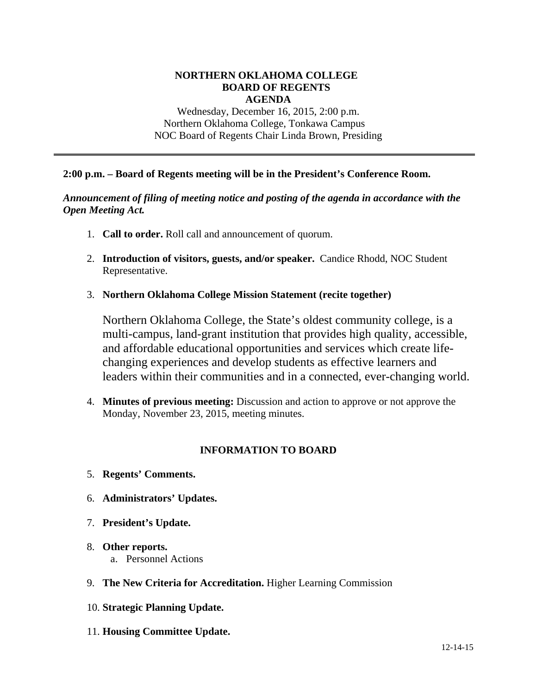#### **NORTHERN OKLAHOMA COLLEGE BOARD OF REGENTS AGENDA**

Wednesday, December 16, 2015, 2:00 p.m. Northern Oklahoma College, Tonkawa Campus NOC Board of Regents Chair Linda Brown, Presiding

### **2:00 p.m. – Board of Regents meeting will be in the President's Conference Room.**

### *Announcement of filing of meeting notice and posting of the agenda in accordance with the Open Meeting Act.*

- 1. **Call to order.** Roll call and announcement of quorum.
- 2. **Introduction of visitors, guests, and/or speaker.** Candice Rhodd, NOC Student Representative.
- 3. **Northern Oklahoma College Mission Statement (recite together)**

Northern Oklahoma College, the State's oldest community college, is a multi-campus, land-grant institution that provides high quality, accessible, and affordable educational opportunities and services which create lifechanging experiences and develop students as effective learners and leaders within their communities and in a connected, ever-changing world.

4. **Minutes of previous meeting:** Discussion and action to approve or not approve the Monday, November 23, 2015, meeting minutes.

## **INFORMATION TO BOARD**

- 5. **Regents' Comments.**
- 6. **Administrators' Updates.**
- 7. **President's Update.**
- 8. **Other reports.**  a. Personnel Actions
- 9. **The New Criteria for Accreditation.** Higher Learning Commission
- 10. **Strategic Planning Update.**
- 11. **Housing Committee Update.**